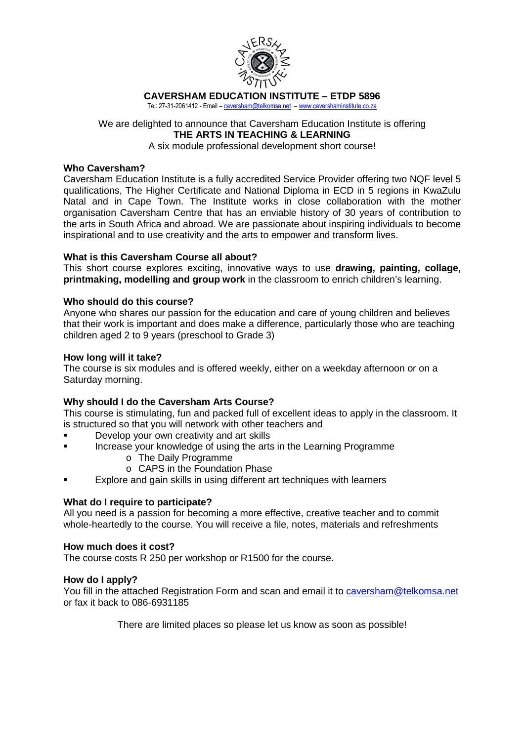

### **CAVERSHAM EDUCATION INSTITUTE – ETDP 5896**

Tel: 27-31-2061412 - Email – caversham@telkomsa.net – www.cavershaminstitute.co.za

# We are delighted to announce that Caversham Education Institute is offering **THE ARTS IN TEACHING & LEARNING**

A six module professional development short course!

### **Who Caversham?**

Caversham Education Institute is a fully accredited Service Provider offering two NQF level 5 qualifications, The Higher Certificate and National Diploma in ECD in 5 regions in KwaZulu Natal and in Cape Town. The Institute works in close collaboration with the mother organisation Caversham Centre that has an enviable history of 30 years of contribution to the arts in South Africa and abroad. We are passionate about inspiring individuals to become inspirational and to use creativity and the arts to empower and transform lives.

### **What is this Caversham Course all about?**

This short course explores exciting, innovative ways to use **drawing, painting, collage, printmaking, modelling and group work** in the classroom to enrich children's learning.

### **Who should do this course?**

Anyone who shares our passion for the education and care of young children and believes that their work is important and does make a difference, particularly those who are teaching children aged 2 to 9 years (preschool to Grade 3)

### **How long will it take?**

The course is six modules and is offered weekly, either on a weekday afternoon or on a Saturday morning.

## **Why should I do the Caversham Arts Course?**

This course is stimulating, fun and packed full of excellent ideas to apply in the classroom. It is structured so that you will network with other teachers and

- Develop your own creativity and art skills
- Increase your knowledge of using the arts in the Learning Programme
	- o The Daily Programme
	- o CAPS in the Foundation Phase
- Explore and gain skills in using different art techniques with learners

### **What do I require to participate?**

All you need is a passion for becoming a more effective, creative teacher and to commit whole-heartedly to the course. You will receive a file, notes, materials and refreshments

### **How much does it cost?**

The course costs R 250 per workshop or R1500 for the course.

### **How do I apply?**

You fill in the attached Registration Form and scan and email it to caversham@telkomsa.net or fax it back to 086-6931185

There are limited places so please let us know as soon as possible!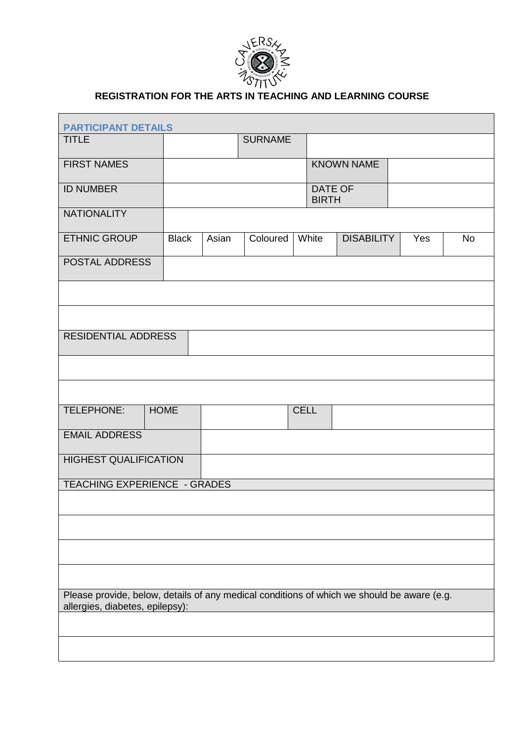

# **REGISTRATION FOR THE ARTS IN TEACHING AND LEARNING COURSE**

| <b>PARTICIPANT DETAILS</b>                                                                                                    |                         |       |                |             |  |                   |  |     |           |
|-------------------------------------------------------------------------------------------------------------------------------|-------------------------|-------|----------------|-------------|--|-------------------|--|-----|-----------|
| <b>TITLE</b>                                                                                                                  |                         |       | <b>SURNAME</b> |             |  |                   |  |     |           |
| <b>FIRST NAMES</b>                                                                                                            |                         |       |                |             |  | <b>KNOWN NAME</b> |  |     |           |
| <b>ID NUMBER</b>                                                                                                              |                         |       |                |             |  |                   |  |     |           |
|                                                                                                                               | DATE OF<br><b>BIRTH</b> |       |                |             |  |                   |  |     |           |
| <b>NATIONALITY</b>                                                                                                            |                         |       |                |             |  |                   |  |     |           |
| <b>ETHNIC GROUP</b>                                                                                                           | <b>Black</b>            | Asian | Coloured       | White       |  | <b>DISABILITY</b> |  | Yes | <b>No</b> |
| POSTAL ADDRESS                                                                                                                |                         |       |                |             |  |                   |  |     |           |
|                                                                                                                               |                         |       |                |             |  |                   |  |     |           |
|                                                                                                                               |                         |       |                |             |  |                   |  |     |           |
| <b>RESIDENTIAL ADDRESS</b>                                                                                                    |                         |       |                |             |  |                   |  |     |           |
|                                                                                                                               |                         |       |                |             |  |                   |  |     |           |
|                                                                                                                               |                         |       |                |             |  |                   |  |     |           |
| TELEPHONE:                                                                                                                    | <b>HOME</b>             |       |                | <b>CELL</b> |  |                   |  |     |           |
|                                                                                                                               |                         |       |                |             |  |                   |  |     |           |
| <b>EMAIL ADDRESS</b>                                                                                                          |                         |       |                |             |  |                   |  |     |           |
| <b>HIGHEST QUALIFICATION</b>                                                                                                  |                         |       |                |             |  |                   |  |     |           |
| TEACHING EXPERIENCE - GRADES                                                                                                  |                         |       |                |             |  |                   |  |     |           |
|                                                                                                                               |                         |       |                |             |  |                   |  |     |           |
|                                                                                                                               |                         |       |                |             |  |                   |  |     |           |
|                                                                                                                               |                         |       |                |             |  |                   |  |     |           |
|                                                                                                                               |                         |       |                |             |  |                   |  |     |           |
| Please provide, below, details of any medical conditions of which we should be aware (e.g.<br>allergies, diabetes, epilepsy): |                         |       |                |             |  |                   |  |     |           |
|                                                                                                                               |                         |       |                |             |  |                   |  |     |           |
|                                                                                                                               |                         |       |                |             |  |                   |  |     |           |
|                                                                                                                               |                         |       |                |             |  |                   |  |     |           |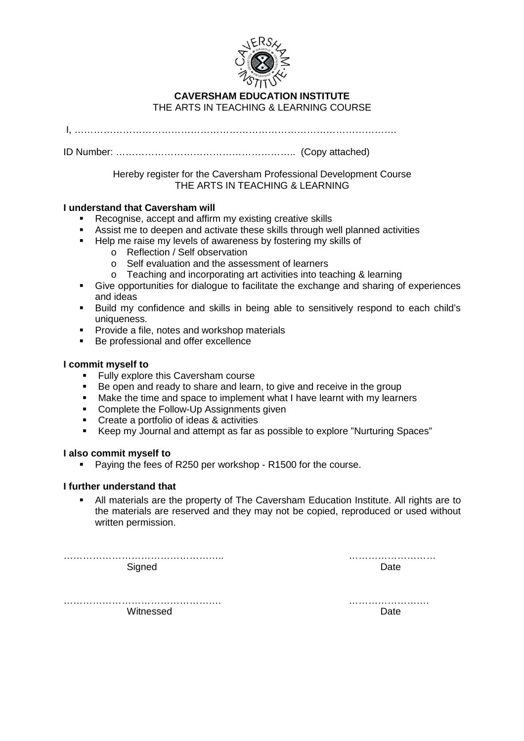

## **CAVERSHAM EDUCATION INSTITUTE**  THE ARTS IN TEACHING & LEARNING COURSE

I, ……………………………………………………………………………………….

ID Number: ……………………………………………….. (Copy attached)

Hereby register for the Caversham Professional Development Course THE ARTS IN TEACHING & LEARNING

## **I understand that Caversham will**

- Recognise, accept and affirm my existing creative skills
- Assist me to deepen and activate these skills through well planned activities
- Help me raise my levels of awareness by fostering my skills of
	- o Reflection / Self observation
	- o Self evaluation and the assessment of learners
	- o Teaching and incorporating art activities into teaching & learning
- Give opportunities for dialogue to facilitate the exchange and sharing of experiences and ideas
- Build my confidence and skills in being able to sensitively respond to each child's uniqueness.
- **Provide a file, notes and workshop materials**
- Be professional and offer excellence

## **I commit myself to**

- **Fully explore this Caversham course**
- Be open and ready to share and learn, to give and receive in the group
- Make the time and space to implement what I have learnt with my learners
- **Complete the Follow-Up Assignments given**
- **Create a portfolio of ideas & activities**
- Keep my Journal and attempt as far as possible to explore "Nurturing Spaces"

## **I also commit myself to**

**Paying the fees of R250 per workshop - R1500 for the course.** 

## **I further understand that**

 All materials are the property of The Caversham Education Institute. All rights are to the materials are reserved and they may not be copied, reproduced or used without written permission.

Signed **Date Date** 

………………………………………….. ………………………

…………………………………………. ……………………. Witnessed **Date**